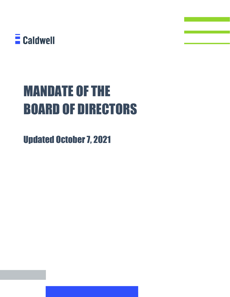

# MANDATE OF THE BOARD OF DIRECTORS

Updated October 7, 2021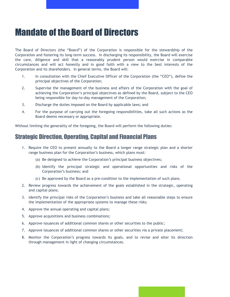## Mandate of the Board of Directors

The Board of Directors (the "Board") of the Corporation is responsible for the stewardship of the Corporation and fostering its long-term success. In discharging its responsibility, the Board will exercise the care, diligence and skill that a reasonably prudent person would exercise in comparable circumstances and will act honestly and in good faith with a view to the best interests of the Corporation and its shareholders. In general terms, the Board will:

- 1. In consultation with the Chief Executive Officer of the Corporation (the "CEO"), define the principal objectives of the Corporation;
- 2. Supervise the management of the business and affairs of the Corporation with the goal of achieving the Corporation's principal objectives as defined by the Board, subject to the CEO being responsible for day-to-day management of the Corporation;
- 3. Discharge the duties imposed on the Board by applicable laws; and
- 4. For the purpose of carrying out the foregoing responsibilities, take all such actions as the Board deems necessary or appropriate.

Without limiting the generality of the foregoing, the Board will perform the following duties:

## Strategic Direction, Operating, Capital and Financial Plans

- 1. Require the CEO to present annually to the Board a longer range strategic plan and a shorter range business plan for the Corporation's business, which plans must:
	- (a) Be designed to achieve the Corporation's principal business objectives;
	- (b) Identify the principal strategic and operational opportunities and risks of the Corporation's business; and
	- (c) Be approved by the Board as a pre-condition to the implementation of such plans.
- 2. Review progress towards the achievement of the goals established in the strategic, operating and capital plans;
- 3. Identify the principal risks of the Corporation's business and take all reasonable steps to ensure the implementation of the appropriate systems to manage these risks;
- 4. Approve the annual operating and capital plans;
- 5. Approve acquisitions and business combinations;
- 6. Approve issuances of additional common shares or other securities to the public;
- 7. Approve issuances of additional common shares or other securities via a private placement;
- 8. Monitor the Corporation's progress towards its goals, and to revise and alter its direction through management in light of changing circumstances.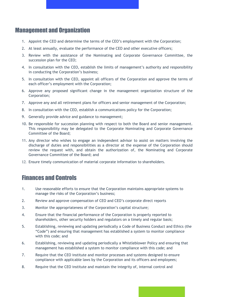### Management and Organization

- 1. Appoint the CEO and determine the terms of the CEO's employment with the Corporation;
- 2. At least annually, evaluate the performance of the CEO and other executive officers;
- 3. Review with the assistance of the Nominating and Corporate Governance Committee, the succession plan for the CEO;
- 4. In consultation with the CEO, establish the limits of management's authority and responsibility in conducting the Corporation's business;
- 5. In consultation with the CEO, appoint all officers of the Corporation and approve the terms of each officer's employment with the Corporation;
- 6. Approve any proposed significant change in the management organization structure of the Corporation;
- 7. Approve any and all retirement plans for officers and senior management of the Corporation;
- 8. In consultation with the CEO, establish a communications policy for the Corporation;
- 9. Generally provide advice and guidance to management;
- 10. Be responsible for succession planning with respect to both the Board and senior management. This responsibility may be delegated to the Corporate Nominating and Corporate Governance Committee of the Board;
- 11. Any director who wishes to engage an independent advisor to assist on matters involving the discharge of duties and responsibilities as a director at the expense of the Corporation should review the request with, and obtain the authorization of, the Nominating and Corporate Governance Committee of the Board; and
- 12. Ensure timely communication of material corporate information to shareholders.

## Finances and Controls

- 1. Use reasonable efforts to ensure that the Corporation maintains appropriate systems to manage the risks of the Corporation's business;
- 2. Review and approve compensation of CEO and CEO's corporate direct reports
- 3. Monitor the appropriateness of the Corporation's capital structure;
- 4. Ensure that the financial performance of the Corporation is properly reported to shareholders, other security holders and regulators on a timely and regular basis;
- 5. Establishing, reviewing and updating periodically a Code of Business Conduct and Ethics (the "Code") and ensuring that management has established a system to monitor compliance with this code; and
- 6. Establishing, reviewing and updating periodically a Whistleblower Policy and ensuring that management has established a system to monitor compliance with this code; and
- 7. Require that the CEO institute and monitor processes and systems designed to ensure compliance with applicable laws by the Corporation and its officers and employees;
- 8. Require that the CEO institute and maintain the integrity of, internal control and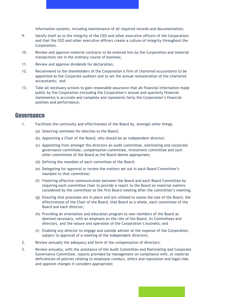information systems, including maintenance of all required records and documentation;

- 9. Satisfy itself as to the integrity of the CEO and other executive officers of the Corporation; and that the CEO and other executive officers create a culture of integrity throughout the Corporation;
- 10. Review and approve material contracts to be entered into by the Corporation and material transactions not in the ordinary course of business;
- 11. Review and approve dividends for declaration;
- 12. Recommend to the shareholders of the Corporation a firm of chartered accountants to be appointed as the Corporate auditors and to set the annual remuneration of the chartered accountants; and
- 13. Take all necessary actions to gain reasonable assurance that all financial information made public by the Corporation (including the Corporation's annual and quarterly financial statements) is accurate and complete and represents fairly the Corporation's financial position and performance;

#### **Governance**

- 1. Facilitate the continuity and effectiveness of the Board by, amongst other things,
	- (a) Selecting nominees for election to the Board;
	- (b) Appointing a Chair of the Board, who should be an independent director;
	- (c) Appointing from amongst the directors an audit committee, nominating and corporate governance committee, compensation committee, investment committee and such other committees of the Board as the Board deems appropriate;
	- (d) Defining the mandate of each committee of the Board;
	- (e) Delegating for approval or review the matters set out in each Board Committee's mandate to that committee;
	- (f) Fostering effective communication between the Board and each Board Committee by requiring each committee chair to provide a report to the Board on material matters considered by the committee at the first Board meeting after the committee's meeting;
	- (g) Ensuring that processes are in place and are utilized to assess the size of the Board, the effectiveness of the Chair of the Board, that Board as a whole, each committee of the Board and each director;
	- (h) Providing an orientation and education program to new members of the Board as deemed necessary, with an emphasis on the role of the Board, its Committees and directors, and the nature and operation of the Corporation's business; and
	- (i) Enabling any director to engage and outside adviser at the expense of the Corporation, subject to approval of a meeting of the independent directors;
- 2. Review annually the adequacy and form of the compensation of directors;
- 3. Review annually, with the assistance of the Audit Committee and Nominating and Corporate Governance Committee, reports provided by management on compliance with, or material deficiencies of policies relating to employee conduct, ethics and reputation and legal risks and approve changes it considers appropriate;